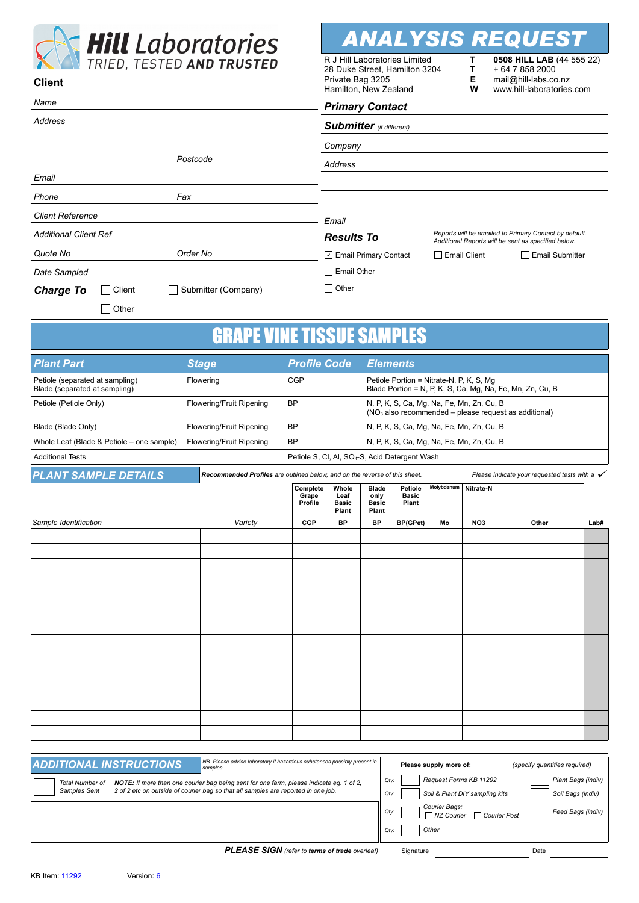

**ANALYSIS REQUE** 

**T**

R J Hill Laboratories Limited 28 Duke Street, Hamilton 3204 **0508 HILL LAB** (44 555 22) + 64 7 858 2000

| $\sum$ in $ED$ , $ILO$ and $INO$<br><b>Client</b>                |                                                                            |                                                            | 28 Duke Street, Hamilton 3204<br>+ 64 7 858 2000<br>т<br>Private Bag 3205<br>Е<br>mail@hill-labs.co.nz<br>Hamilton, New Zealand<br>W<br>www.hill-laboratories.com |                                                                                                                |                                  |            |                 |                                                          |      |  |
|------------------------------------------------------------------|----------------------------------------------------------------------------|------------------------------------------------------------|-------------------------------------------------------------------------------------------------------------------------------------------------------------------|----------------------------------------------------------------------------------------------------------------|----------------------------------|------------|-----------------|----------------------------------------------------------|------|--|
| Name                                                             |                                                                            | <b>Primary Contact</b>                                     |                                                                                                                                                                   |                                                                                                                |                                  |            |                 |                                                          |      |  |
| Address                                                          |                                                                            |                                                            | <b>Submitter</b> (if different)                                                                                                                                   |                                                                                                                |                                  |            |                 |                                                          |      |  |
|                                                                  |                                                                            |                                                            | Company                                                                                                                                                           |                                                                                                                |                                  |            |                 |                                                          |      |  |
| Postcode                                                         |                                                                            |                                                            | Address                                                                                                                                                           |                                                                                                                |                                  |            |                 |                                                          |      |  |
| Email                                                            |                                                                            |                                                            |                                                                                                                                                                   |                                                                                                                |                                  |            |                 |                                                          |      |  |
| Fax<br>Phone                                                     |                                                                            |                                                            |                                                                                                                                                                   |                                                                                                                |                                  |            |                 |                                                          |      |  |
| <b>Client Reference</b>                                          |                                                                            |                                                            | Email                                                                                                                                                             |                                                                                                                |                                  |            |                 |                                                          |      |  |
| <b>Additional Client Ref</b>                                     |                                                                            |                                                            | Reports will be emailed to Primary Contact by default.<br><b>Results To</b>                                                                                       |                                                                                                                |                                  |            |                 |                                                          |      |  |
| Order No<br>Quote No                                             |                                                                            |                                                            | Additional Reports will be sent as specified below.<br>Email Primary Contact<br>$\Box$ Email Client<br>Email Submitter                                            |                                                                                                                |                                  |            |                 |                                                          |      |  |
| Date Sampled                                                     |                                                                            |                                                            | $\Box$ Email Other                                                                                                                                                |                                                                                                                |                                  |            |                 |                                                          |      |  |
| Client<br>Submitter (Company)<br><b>Charge To</b>                |                                                                            |                                                            | $\Box$ Other                                                                                                                                                      |                                                                                                                |                                  |            |                 |                                                          |      |  |
| $\Box$ Other                                                     |                                                                            |                                                            |                                                                                                                                                                   |                                                                                                                |                                  |            |                 |                                                          |      |  |
|                                                                  |                                                                            |                                                            |                                                                                                                                                                   |                                                                                                                |                                  |            |                 |                                                          |      |  |
|                                                                  | <b>GRAPE VINE TISSUE SAMPLES</b>                                           |                                                            |                                                                                                                                                                   |                                                                                                                |                                  |            |                 |                                                          |      |  |
| <b>Plant Part</b>                                                | <b>Stage</b>                                                               | <b>Profile Code</b>                                        |                                                                                                                                                                   | <b>Elements</b>                                                                                                |                                  |            |                 |                                                          |      |  |
| Petiole (separated at sampling)<br>Blade (separated at sampling) | Flowering                                                                  | <b>CGP</b>                                                 |                                                                                                                                                                   | Petiole Portion = Nitrate-N, P, K, S, Mg<br>Blade Portion = N, P, K, S, Ca, Mg, Na, Fe, Mn, Zn, Cu, B          |                                  |            |                 |                                                          |      |  |
| Petiole (Petiole Only)                                           | Flowering/Fruit Ripening                                                   | <b>BP</b>                                                  |                                                                                                                                                                   | N, P, K, S, Ca, Mg, Na, Fe, Mn, Zn, Cu, B<br>(NO <sub>3</sub> also recommended – please request as additional) |                                  |            |                 |                                                          |      |  |
| Blade (Blade Only)                                               | Flowering/Fruit Ripening                                                   | <b>BP</b>                                                  |                                                                                                                                                                   | N, P, K, S, Ca, Mg, Na, Fe, Mn, Zn, Cu, B                                                                      |                                  |            |                 |                                                          |      |  |
| Whole Leaf (Blade & Petiole – one sample)                        | Flowering/Fruit Ripening                                                   | <b>BP</b>                                                  |                                                                                                                                                                   | N, P, K, S, Ca, Mg, Na, Fe, Mn, Zn, Cu, B                                                                      |                                  |            |                 |                                                          |      |  |
| <b>Additional Tests</b>                                          |                                                                            | Petiole S, Cl, Al, SO <sub>4</sub> -S, Acid Detergent Wash |                                                                                                                                                                   |                                                                                                                |                                  |            |                 |                                                          |      |  |
| <b>PLANT SAMPLE DETAILS</b>                                      | Recommended Profiles are outlined below, and on the reverse of this sheet. |                                                            |                                                                                                                                                                   |                                                                                                                |                                  |            |                 | Please indicate your requested tests with a $\checkmark$ |      |  |
|                                                                  |                                                                            | Complete<br>Grape<br>Profile                               | Whole<br>Leaf<br><b>Basic</b><br>Plant                                                                                                                            | <b>Blade</b><br>only<br>Basic<br>Plant                                                                         | Petiole<br><b>Basic</b><br>Plant | Molybdenum | Nitrate-N       |                                                          |      |  |
| Sample Identification                                            | Variety                                                                    | <b>CGP</b>                                                 | <b>BP</b>                                                                                                                                                         | <b>BP</b>                                                                                                      | BP(GPet)                         | Mo         | NO <sub>3</sub> | Other                                                    | Lab# |  |
|                                                                  |                                                                            |                                                            |                                                                                                                                                                   |                                                                                                                |                                  |            |                 |                                                          |      |  |
|                                                                  |                                                                            |                                                            |                                                                                                                                                                   |                                                                                                                |                                  |            |                 |                                                          |      |  |
|                                                                  |                                                                            |                                                            |                                                                                                                                                                   |                                                                                                                |                                  |            |                 |                                                          |      |  |
|                                                                  |                                                                            |                                                            |                                                                                                                                                                   |                                                                                                                |                                  |            |                 |                                                          |      |  |
|                                                                  |                                                                            |                                                            |                                                                                                                                                                   |                                                                                                                |                                  |            |                 |                                                          |      |  |
|                                                                  |                                                                            |                                                            |                                                                                                                                                                   |                                                                                                                |                                  |            |                 |                                                          |      |  |
|                                                                  |                                                                            |                                                            |                                                                                                                                                                   |                                                                                                                |                                  |            |                 |                                                          |      |  |
|                                                                  |                                                                            |                                                            |                                                                                                                                                                   |                                                                                                                |                                  |            |                 |                                                          |      |  |
|                                                                  |                                                                            |                                                            |                                                                                                                                                                   |                                                                                                                |                                  |            |                 |                                                          |      |  |
|                                                                  |                                                                            |                                                            |                                                                                                                                                                   |                                                                                                                |                                  |            |                 |                                                          |      |  |

| NB. Please advise laboratory if hazardous substances possibly present in<br><b>ADDITIONAL INSTRUCTIONS</b><br>samples.                                                                                                        | Please supply more of:<br>(specify quantities required)                                                                |
|-------------------------------------------------------------------------------------------------------------------------------------------------------------------------------------------------------------------------------|------------------------------------------------------------------------------------------------------------------------|
| <b>NOTE:</b> If more than one courier bag being sent for one farm, please indicate eq. 1 of 2,<br><b>Total Number of</b><br>2 of 2 etc on outside of courier bag so that all samples are reported in one job.<br>Samples Sent | Request Forms KB 11292<br>Plant Bags (indiv)<br>Qty:<br>Soil & Plant DIY sampling kits<br>Soil Bags (indiv)<br>$Qty$ : |
|                                                                                                                                                                                                                               | Courier Bags:<br>Feed Bags (indiv)<br>Otv:<br>Courier Post<br>$\Box$ NZ Courier                                        |
|                                                                                                                                                                                                                               | Other<br>$Qty$ :                                                                                                       |
| <b>PI FASE SIGN</b> (refer to terms of trade overleaf)                                                                                                                                                                        | <b>Date</b><br>Signature                                                                                               |